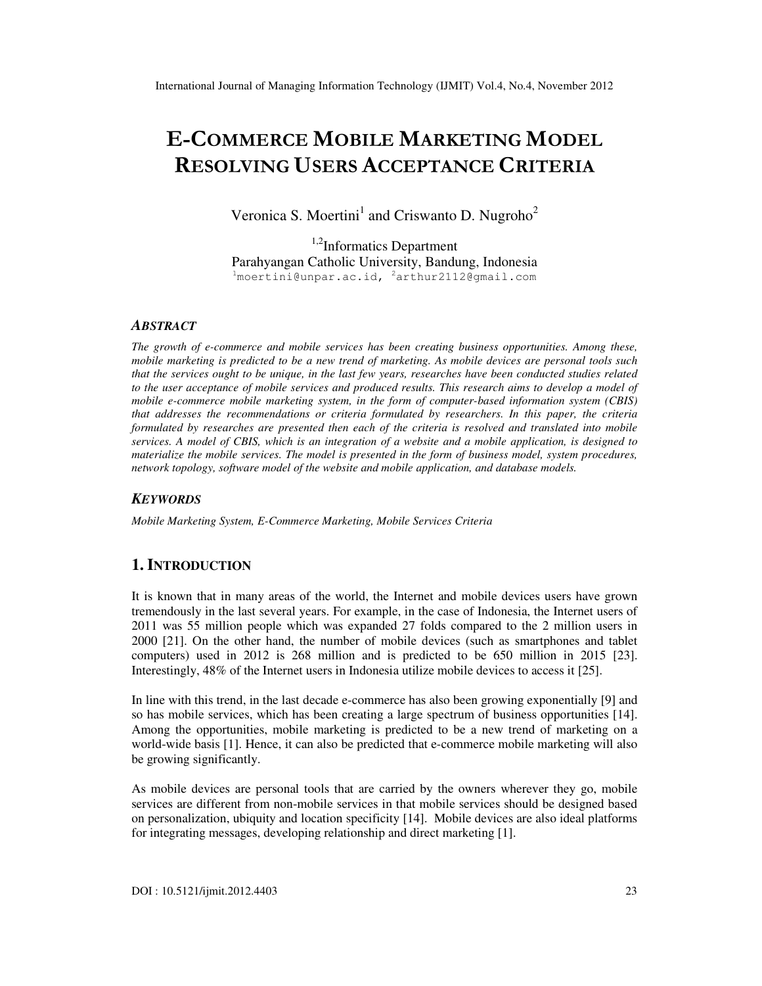# E-COMMERCE MOBILE MARKETING MODEL RESOLVING USERS ACCEPTANCE CRITERIA

Veronica S. Moertini<sup>1</sup> and Criswanto D. Nugroho<sup>2</sup>

1,2Informatics Department Parahyangan Catholic University, Bandung, Indonesia  $1$ moertini@unpar.ac.id,  $2$ arthur2112@gmail.com

### *ABSTRACT*

*The growth of e-commerce and mobile services has been creating business opportunities. Among these, mobile marketing is predicted to be a new trend of marketing. As mobile devices are personal tools such that the services ought to be unique, in the last few years, researches have been conducted studies related to the user acceptance of mobile services and produced results. This research aims to develop a model of mobile e-commerce mobile marketing system, in the form of computer-based information system (CBIS) that addresses the recommendations or criteria formulated by researchers. In this paper, the criteria formulated by researches are presented then each of the criteria is resolved and translated into mobile services. A model of CBIS, which is an integration of a website and a mobile application, is designed to materialize the mobile services. The model is presented in the form of business model, system procedures, network topology, software model of the website and mobile application, and database models.* 

#### *KEYWORDS*

*Mobile Marketing System, E-Commerce Marketing, Mobile Services Criteria* 

### **1. INTRODUCTION**

It is known that in many areas of the world, the Internet and mobile devices users have grown tremendously in the last several years. For example, in the case of Indonesia, the Internet users of 2011 was 55 million people which was expanded 27 folds compared to the 2 million users in 2000 [21]. On the other hand, the number of mobile devices (such as smartphones and tablet computers) used in 2012 is 268 million and is predicted to be 650 million in 2015 [23]. Interestingly, 48% of the Internet users in Indonesia utilize mobile devices to access it [25].

In line with this trend, in the last decade e-commerce has also been growing exponentially [9] and so has mobile services, which has been creating a large spectrum of business opportunities [14]. Among the opportunities, mobile marketing is predicted to be a new trend of marketing on a world-wide basis [1]. Hence, it can also be predicted that e-commerce mobile marketing will also be growing significantly.

As mobile devices are personal tools that are carried by the owners wherever they go, mobile services are different from non-mobile services in that mobile services should be designed based on personalization, ubiquity and location specificity [14]. Mobile devices are also ideal platforms for integrating messages, developing relationship and direct marketing [1].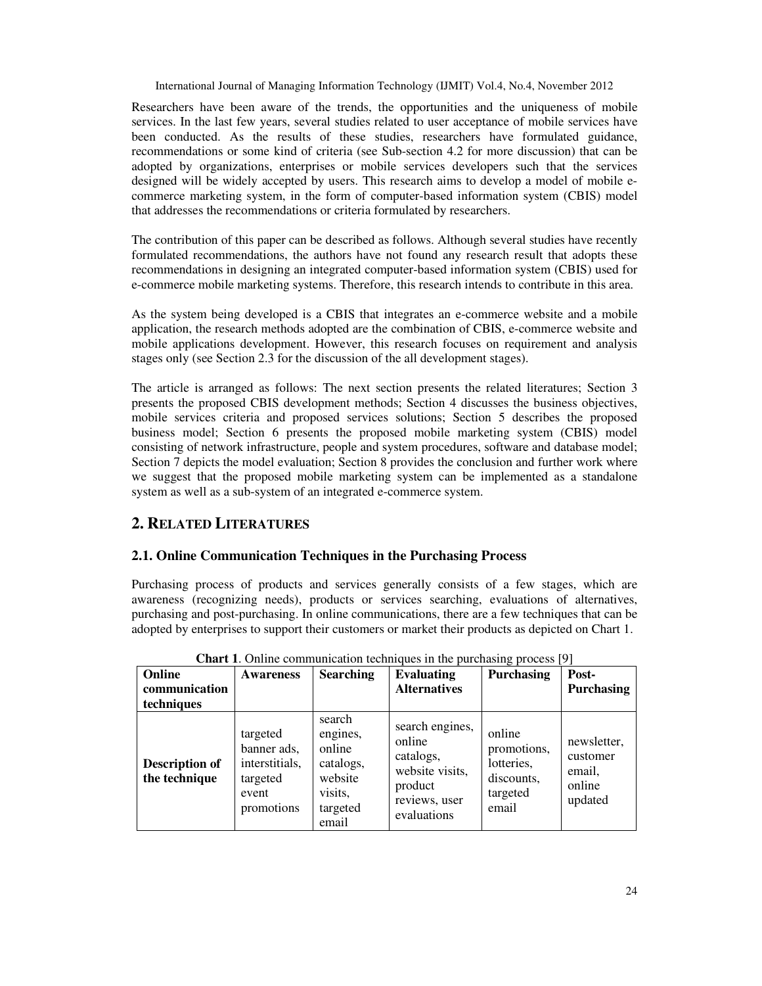Researchers have been aware of the trends, the opportunities and the uniqueness of mobile services. In the last few years, several studies related to user acceptance of mobile services have been conducted. As the results of these studies, researchers have formulated guidance, recommendations or some kind of criteria (see Sub-section 4.2 for more discussion) that can be adopted by organizations, enterprises or mobile services developers such that the services designed will be widely accepted by users. This research aims to develop a model of mobile ecommerce marketing system, in the form of computer-based information system (CBIS) model that addresses the recommendations or criteria formulated by researchers.

The contribution of this paper can be described as follows. Although several studies have recently formulated recommendations, the authors have not found any research result that adopts these recommendations in designing an integrated computer-based information system (CBIS) used for e-commerce mobile marketing systems. Therefore, this research intends to contribute in this area.

As the system being developed is a CBIS that integrates an e-commerce website and a mobile application, the research methods adopted are the combination of CBIS, e-commerce website and mobile applications development. However, this research focuses on requirement and analysis stages only (see Section 2.3 for the discussion of the all development stages).

The article is arranged as follows: The next section presents the related literatures; Section 3 presents the proposed CBIS development methods; Section 4 discusses the business objectives, mobile services criteria and proposed services solutions; Section 5 describes the proposed business model; Section 6 presents the proposed mobile marketing system (CBIS) model consisting of network infrastructure, people and system procedures, software and database model; Section 7 depicts the model evaluation; Section 8 provides the conclusion and further work where we suggest that the proposed mobile marketing system can be implemented as a standalone system as well as a sub-system of an integrated e-commerce system.

### **2. RELATED LITERATURES**

### **2.1. Online Communication Techniques in the Purchasing Process**

Purchasing process of products and services generally consists of a few stages, which are awareness (recognizing needs), products or services searching, evaluations of alternatives, purchasing and post-purchasing. In online communications, there are a few techniques that can be adopted by enterprises to support their customers or market their products as depicted on Chart 1.

| Online<br>communication<br>techniques  | <b>Awareness</b>                                                             | <b>Searching</b>                                                                     | <b>Evaluating</b><br><b>Alternatives</b>                                                             | <b>Purchasing</b>                                                      | Post-<br><b>Purchasing</b>                             |
|----------------------------------------|------------------------------------------------------------------------------|--------------------------------------------------------------------------------------|------------------------------------------------------------------------------------------------------|------------------------------------------------------------------------|--------------------------------------------------------|
| <b>Description of</b><br>the technique | targeted<br>banner ads,<br>interstitials,<br>targeted<br>event<br>promotions | search<br>engines,<br>online<br>catalogs,<br>website<br>visits,<br>targeted<br>email | search engines,<br>online<br>catalogs,<br>website visits,<br>product<br>reviews, user<br>evaluations | online<br>promotions,<br>lotteries,<br>discounts,<br>targeted<br>email | newsletter,<br>customer<br>email,<br>online<br>updated |

**Chart 1.** Online communication techniques in the purchasing process [9]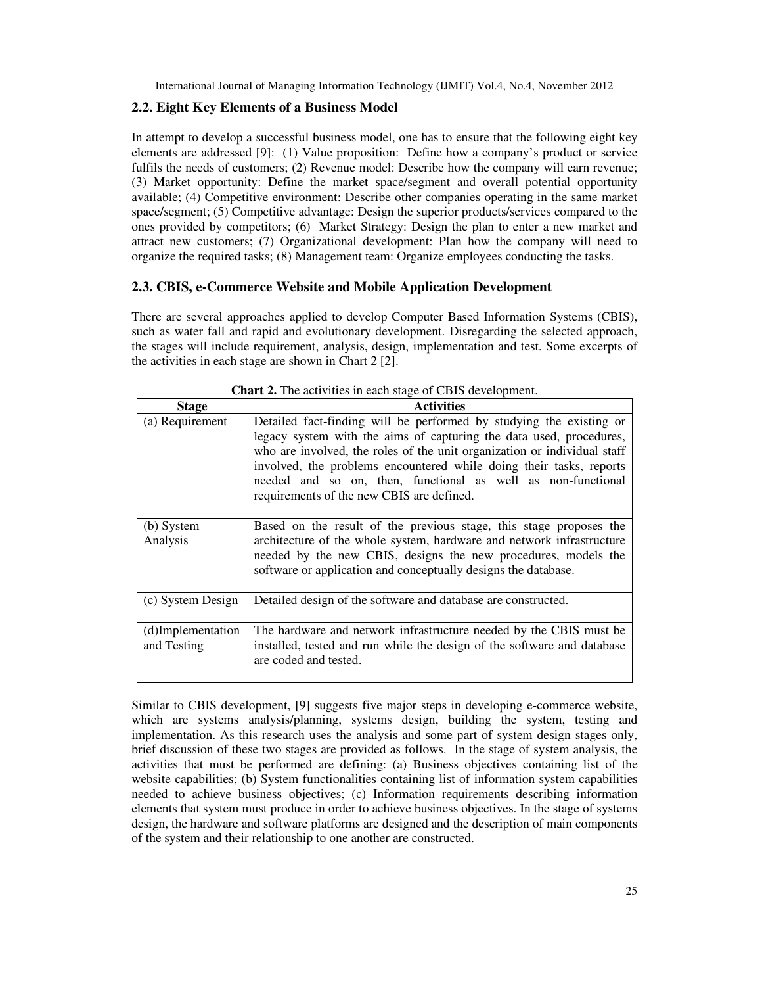### **2.2. Eight Key Elements of a Business Model**

In attempt to develop a successful business model, one has to ensure that the following eight key elements are addressed [9]: (1) Value proposition: Define how a company's product or service fulfils the needs of customers; (2) Revenue model: Describe how the company will earn revenue; (3) Market opportunity: Define the market space/segment and overall potential opportunity available; (4) Competitive environment: Describe other companies operating in the same market space/segment; (5) Competitive advantage: Design the superior products/services compared to the ones provided by competitors; (6) Market Strategy: Design the plan to enter a new market and attract new customers; (7) Organizational development: Plan how the company will need to organize the required tasks; (8) Management team: Organize employees conducting the tasks.

### **2.3. CBIS, e-Commerce Website and Mobile Application Development**

There are several approaches applied to develop Computer Based Information Systems (CBIS), such as water fall and rapid and evolutionary development. Disregarding the selected approach, the stages will include requirement, analysis, design, implementation and test. Some excerpts of the activities in each stage are shown in Chart 2 [2].

| <b>Stage</b>                     | <b>Activities</b>                                                                                                                                                                                                                                                                                                                                                                                          |
|----------------------------------|------------------------------------------------------------------------------------------------------------------------------------------------------------------------------------------------------------------------------------------------------------------------------------------------------------------------------------------------------------------------------------------------------------|
| (a) Requirement                  | Detailed fact-finding will be performed by studying the existing or<br>legacy system with the aims of capturing the data used, procedures,<br>who are involved, the roles of the unit organization or individual staff<br>involved, the problems encountered while doing their tasks, reports<br>needed and so on, then, functional as well as non-functional<br>requirements of the new CBIS are defined. |
| (b) System<br>Analysis           | Based on the result of the previous stage, this stage proposes the<br>architecture of the whole system, hardware and network infrastructure<br>needed by the new CBIS, designs the new procedures, models the<br>software or application and conceptually designs the database.                                                                                                                            |
| (c) System Design                | Detailed design of the software and database are constructed.                                                                                                                                                                                                                                                                                                                                              |
| (d)Implementation<br>and Testing | The hardware and network infrastructure needed by the CBIS must be<br>installed, tested and run while the design of the software and database<br>are coded and tested.                                                                                                                                                                                                                                     |

| <b>Chart 2.</b> The activities in each stage of CBIS development. |  |
|-------------------------------------------------------------------|--|
|-------------------------------------------------------------------|--|

Similar to CBIS development, [9] suggests five major steps in developing e-commerce website, which are systems analysis/planning, systems design, building the system, testing and implementation. As this research uses the analysis and some part of system design stages only, brief discussion of these two stages are provided as follows. In the stage of system analysis, the activities that must be performed are defining: (a) Business objectives containing list of the website capabilities; (b) System functionalities containing list of information system capabilities needed to achieve business objectives; (c) Information requirements describing information elements that system must produce in order to achieve business objectives. In the stage of systems design, the hardware and software platforms are designed and the description of main components of the system and their relationship to one another are constructed.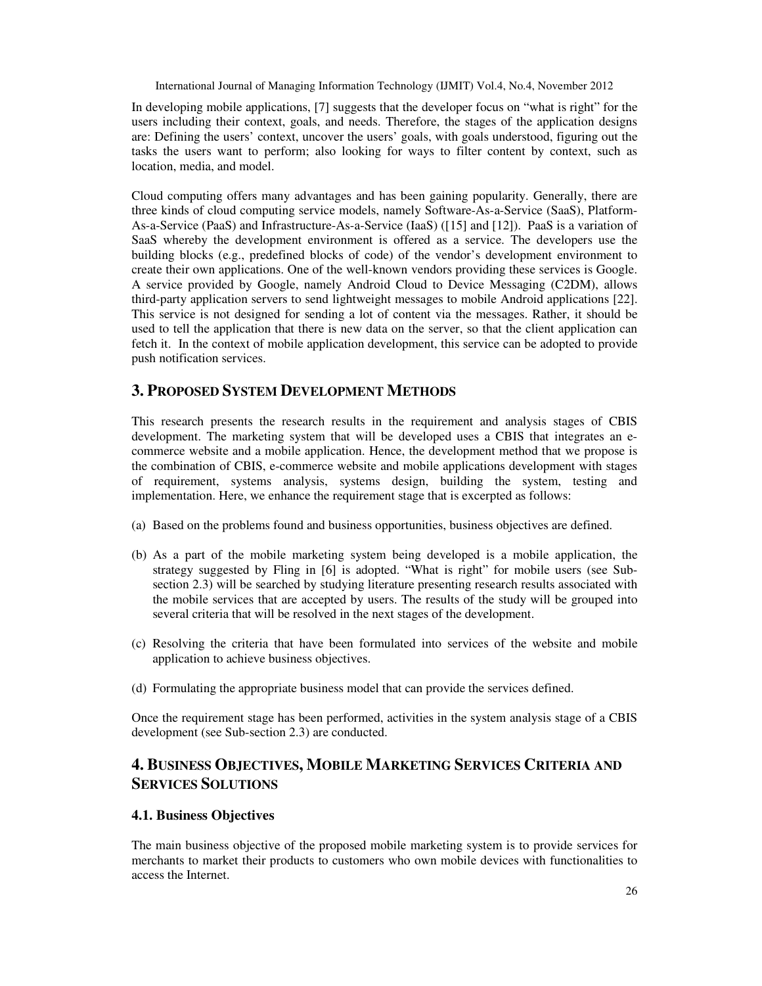In developing mobile applications, [7] suggests that the developer focus on "what is right" for the users including their context, goals, and needs. Therefore, the stages of the application designs are: Defining the users' context, uncover the users' goals, with goals understood, figuring out the tasks the users want to perform; also looking for ways to filter content by context, such as location, media, and model.

Cloud computing offers many advantages and has been gaining popularity. Generally, there are three kinds of cloud computing service models, namely Software-As-a-Service (SaaS), Platform-As-a-Service (PaaS) and Infrastructure-As-a-Service (IaaS) ([15] and [12]). PaaS is a variation of SaaS whereby the development environment is offered as a service. The developers use the building blocks (e.g., predefined blocks of code) of the vendor's development environment to create their own applications. One of the well-known vendors providing these services is Google. A service provided by Google, namely Android Cloud to Device Messaging (C2DM), allows third-party application servers to send lightweight messages to mobile Android applications [22]. This service is not designed for sending a lot of content via the messages. Rather, it should be used to tell the application that there is new data on the server, so that the client application can fetch it. In the context of mobile application development, this service can be adopted to provide push notification services.

### **3. PROPOSED SYSTEM DEVELOPMENT METHODS**

This research presents the research results in the requirement and analysis stages of CBIS development. The marketing system that will be developed uses a CBIS that integrates an ecommerce website and a mobile application. Hence, the development method that we propose is the combination of CBIS, e-commerce website and mobile applications development with stages of requirement, systems analysis, systems design, building the system, testing and implementation. Here, we enhance the requirement stage that is excerpted as follows:

- (a) Based on the problems found and business opportunities, business objectives are defined.
- (b) As a part of the mobile marketing system being developed is a mobile application, the strategy suggested by Fling in [6] is adopted. "What is right" for mobile users (see Subsection 2.3) will be searched by studying literature presenting research results associated with the mobile services that are accepted by users. The results of the study will be grouped into several criteria that will be resolved in the next stages of the development.
- (c) Resolving the criteria that have been formulated into services of the website and mobile application to achieve business objectives.
- (d) Formulating the appropriate business model that can provide the services defined.

Once the requirement stage has been performed, activities in the system analysis stage of a CBIS development (see Sub-section 2.3) are conducted.

# **4. BUSINESS OBJECTIVES, MOBILE MARKETING SERVICES CRITERIA AND SERVICES SOLUTIONS**

### **4.1. Business Objectives**

The main business objective of the proposed mobile marketing system is to provide services for merchants to market their products to customers who own mobile devices with functionalities to access the Internet.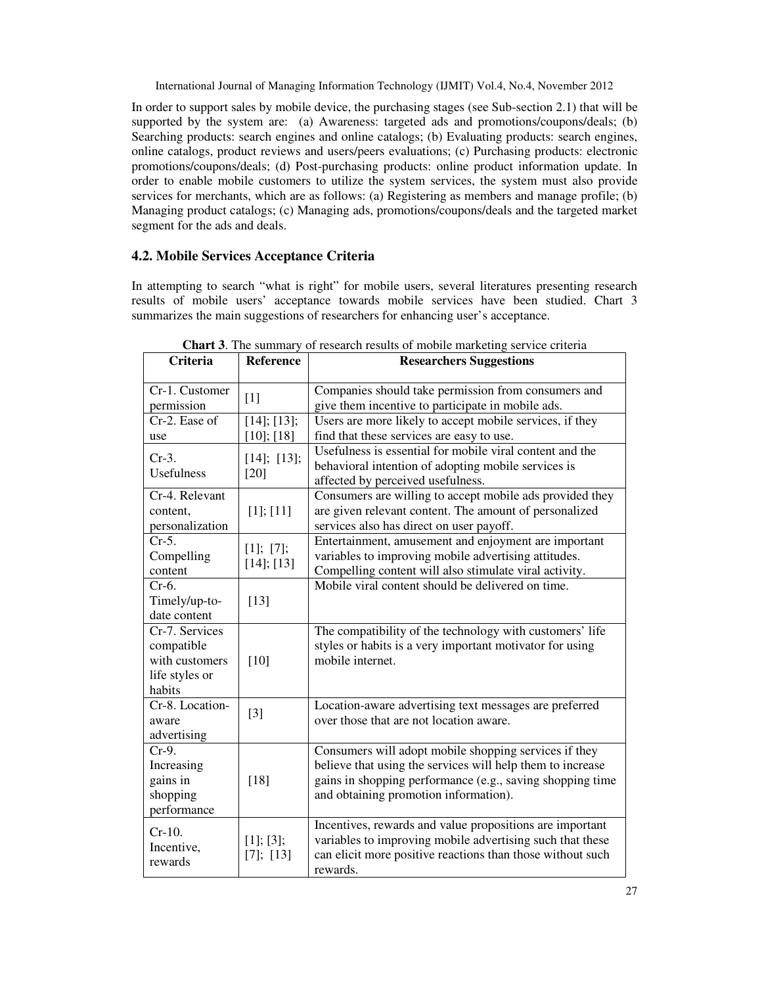In order to support sales by mobile device, the purchasing stages (see Sub-section 2.1) that will be supported by the system are: (a) Awareness: targeted ads and promotions/coupons/deals; (b) Searching products: search engines and online catalogs; (b) Evaluating products: search engines, online catalogs, product reviews and users/peers evaluations; (c) Purchasing products: electronic promotions/coupons/deals; (d) Post-purchasing products: online product information update. In order to enable mobile customers to utilize the system services, the system must also provide services for merchants, which are as follows: (a) Registering as members and manage profile; (b) Managing product catalogs; (c) Managing ads, promotions/coupons/deals and the targeted market segment for the ads and deals.

### **4.2. Mobile Services Acceptance Criteria**

In attempting to search "what is right" for mobile users, several literatures presenting research results of mobile users' acceptance towards mobile services have been studied. Chart 3 summarizes the main suggestions of researchers for enhancing user's acceptance.

| <b>Criteria</b>                                                            | Reference                 | <b>Researchers Suggestions</b>                                                                                                                                                                                            |
|----------------------------------------------------------------------------|---------------------------|---------------------------------------------------------------------------------------------------------------------------------------------------------------------------------------------------------------------------|
| Cr-1. Customer<br>permission                                               | $[1]$                     | Companies should take permission from consumers and<br>give them incentive to participate in mobile ads.                                                                                                                  |
| Cr-2. Ease of<br>use                                                       | [14]; [13];<br>[10]; [18] | Users are more likely to accept mobile services, if they<br>find that these services are easy to use.                                                                                                                     |
| $Cr-3$ .<br><b>Usefulness</b>                                              | [14]; [13];<br>[20]       | Usefulness is essential for mobile viral content and the<br>behavioral intention of adopting mobile services is<br>affected by perceived usefulness.                                                                      |
| Cr-4. Relevant<br>content,<br>personalization                              | [1]; [11]                 | Consumers are willing to accept mobile ads provided they<br>are given relevant content. The amount of personalized<br>services also has direct on user payoff.                                                            |
| $Cr-5$ .<br>Compelling<br>content                                          | [1]; [7];<br>[14]; [13]   | Entertainment, amusement and enjoyment are important<br>variables to improving mobile advertising attitudes.<br>Compelling content will also stimulate viral activity.                                                    |
| $Cr-6$ .<br>Timely/up-to-<br>date content                                  | $[13]$                    | Mobile viral content should be delivered on time.                                                                                                                                                                         |
| Cr-7. Services<br>compatible<br>with customers<br>life styles or<br>habits | [10]                      | The compatibility of the technology with customers' life<br>styles or habits is a very important motivator for using<br>mobile internet.                                                                                  |
| Cr-8. Location-<br>aware<br>advertising                                    | $[3]$                     | Location-aware advertising text messages are preferred<br>over those that are not location aware.                                                                                                                         |
| $Cr-9.$<br>Increasing<br>gains in<br>shopping<br>performance               | [18]                      | Consumers will adopt mobile shopping services if they<br>believe that using the services will help them to increase<br>gains in shopping performance (e.g., saving shopping time<br>and obtaining promotion information). |
| $Cr-10$ .<br>Incentive,<br>rewards                                         | [1]; [3];<br>[7]; [13]    | Incentives, rewards and value propositions are important<br>variables to improving mobile advertising such that these<br>can elicit more positive reactions than those without such<br>rewards.                           |

**Chart 3**. The summary of research results of mobile marketing service criteria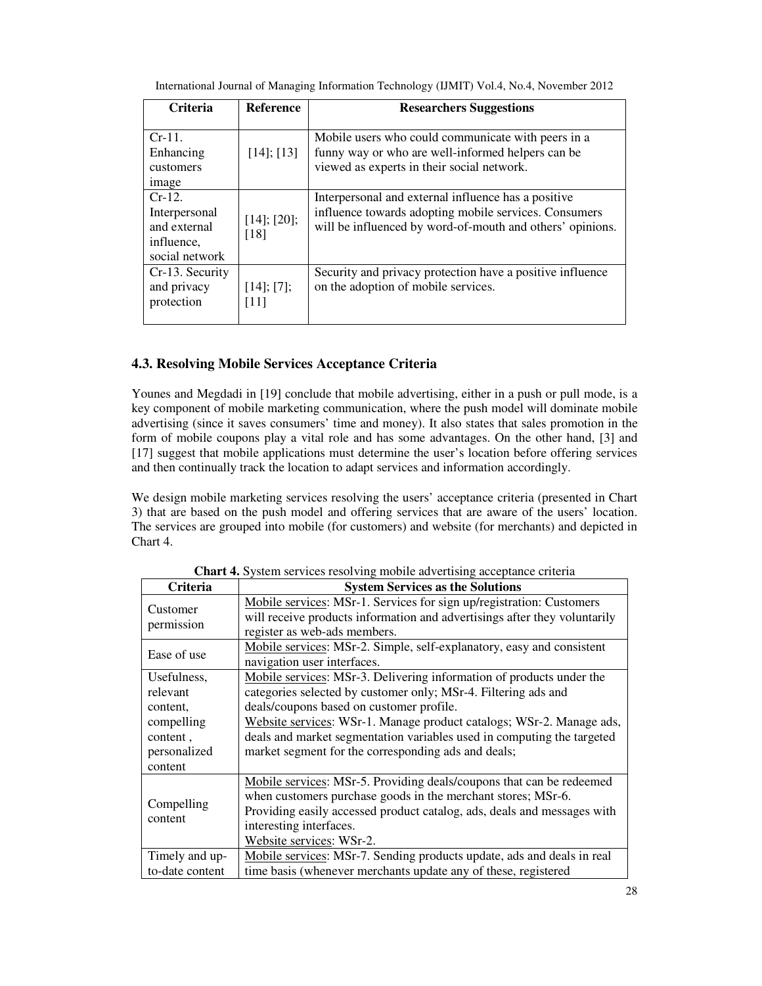| <b>Criteria</b>                                                            | <b>Reference</b>          | <b>Researchers Suggestions</b>                                                                                                                                            |  |  |
|----------------------------------------------------------------------------|---------------------------|---------------------------------------------------------------------------------------------------------------------------------------------------------------------------|--|--|
| $Cr-11$ .<br>Enhancing<br>customers<br>image                               | $[14]$ ; $[13]$           | Mobile users who could communicate with peers in a<br>funny way or who are well-informed helpers can be<br>viewed as experts in their social network.                     |  |  |
| $Cr-12$ .<br>Interpersonal<br>and external<br>influence,<br>social network | $[14]$ ; $[20]$ ;<br>[18] | Interpersonal and external influence has a positive<br>influence towards adopting mobile services. Consumers<br>will be influenced by word-of-mouth and others' opinions. |  |  |
| Cr-13. Security<br>and privacy<br>protection                               | $[14]$ ; [7];<br>[11]     | Security and privacy protection have a positive influence<br>on the adoption of mobile services.                                                                          |  |  |

International Journal of Managing Information Technology (IJMIT) Vol.4, No.4, November 2012

# **4.3. Resolving Mobile Services Acceptance Criteria**

Younes and Megdadi in [19] conclude that mobile advertising, either in a push or pull mode, is a key component of mobile marketing communication, where the push model will dominate mobile advertising (since it saves consumers' time and money). It also states that sales promotion in the form of mobile coupons play a vital role and has some advantages. On the other hand, [3] and [17] suggest that mobile applications must determine the user's location before offering services and then continually track the location to adapt services and information accordingly.

We design mobile marketing services resolving the users' acceptance criteria (presented in Chart 3) that are based on the push model and offering services that are aware of the users' location. The services are grouped into mobile (for customers) and website (for merchants) and depicted in Chart 4.

| <b>Criteria</b>                                                                          | <b>System Services as the Solutions</b>                                                                                                                                                                                                                                                                                                                                                     |
|------------------------------------------------------------------------------------------|---------------------------------------------------------------------------------------------------------------------------------------------------------------------------------------------------------------------------------------------------------------------------------------------------------------------------------------------------------------------------------------------|
| Customer<br>permission                                                                   | Mobile services: MSr-1. Services for sign up/registration: Customers<br>will receive products information and advertisings after they voluntarily<br>register as web-ads members.                                                                                                                                                                                                           |
| Ease of use                                                                              | Mobile services: MSr-2. Simple, self-explanatory, easy and consistent<br>navigation user interfaces.                                                                                                                                                                                                                                                                                        |
| Usefulness,<br>relevant<br>content,<br>compelling<br>content,<br>personalized<br>content | Mobile services: MSr-3. Delivering information of products under the<br>categories selected by customer only; MSr-4. Filtering ads and<br>deals/coupons based on customer profile.<br>Website services: WSr-1. Manage product catalogs; WSr-2. Manage ads,<br>deals and market segmentation variables used in computing the targeted<br>market segment for the corresponding ads and deals; |
| Compelling<br>content                                                                    | Mobile services: MSr-5. Providing deals/coupons that can be redeemed<br>when customers purchase goods in the merchant stores; MSr-6.<br>Providing easily accessed product catalog, ads, deals and messages with<br>interesting interfaces.<br>Website services: WSr-2.                                                                                                                      |
| Timely and up-                                                                           | Mobile services: MSr-7. Sending products update, ads and deals in real                                                                                                                                                                                                                                                                                                                      |
| to-date content                                                                          | time basis (whenever merchants update any of these, registered                                                                                                                                                                                                                                                                                                                              |

**Chart 4.** System services resolving mobile advertising acceptance criteria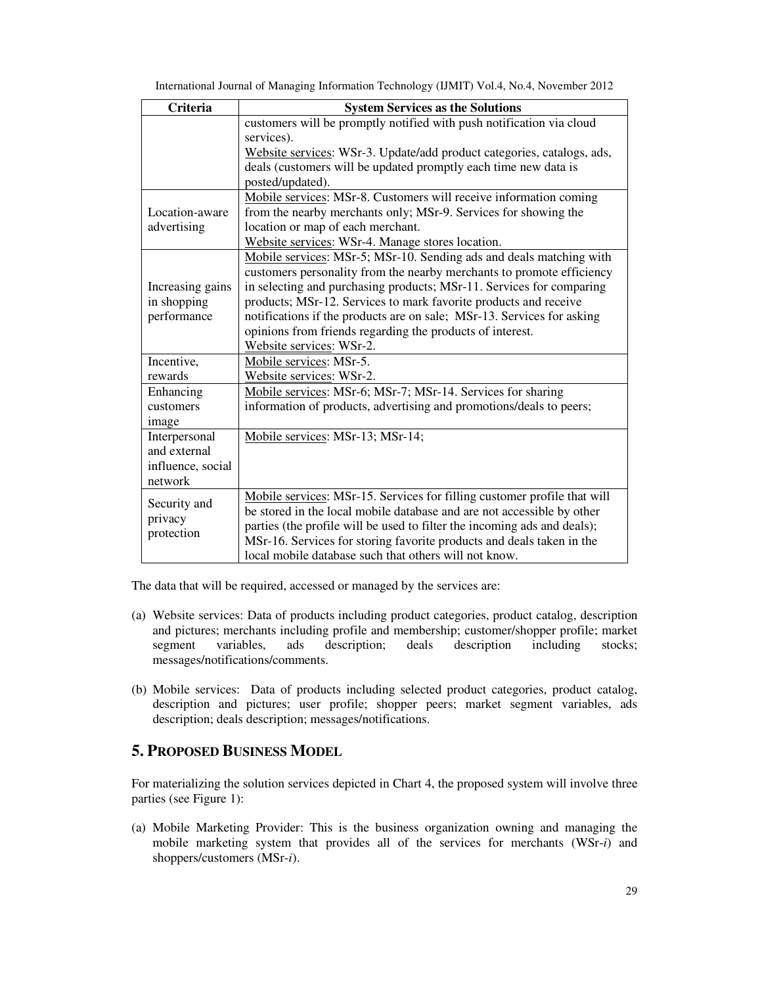|  | International Journal of Managing Information Technology (IJMIT) Vol.4, No.4, November 2012 |  |
|--|---------------------------------------------------------------------------------------------|--|
|  |                                                                                             |  |

| Criteria          | <b>System Services as the Solutions</b>                                  |
|-------------------|--------------------------------------------------------------------------|
|                   | customers will be promptly notified with push notification via cloud     |
|                   | services).                                                               |
|                   | Website services: WSr-3. Update/add product categories, catalogs, ads,   |
|                   | deals (customers will be updated promptly each time new data is          |
|                   | posted/updated).                                                         |
|                   | Mobile services: MSr-8. Customers will receive information coming        |
| Location-aware    | from the nearby merchants only; MSr-9. Services for showing the          |
| advertising       | location or map of each merchant.                                        |
|                   | Website services: WSr-4. Manage stores location.                         |
|                   | Mobile services: MSr-5; MSr-10. Sending ads and deals matching with      |
|                   | customers personality from the nearby merchants to promote efficiency    |
| Increasing gains  | in selecting and purchasing products; MSr-11. Services for comparing     |
| in shopping       | products; MSr-12. Services to mark favorite products and receive         |
| performance       | notifications if the products are on sale; MSr-13. Services for asking   |
|                   | opinions from friends regarding the products of interest.                |
|                   | Website services: WSr-2.                                                 |
| Incentive,        | Mobile services: MSr-5.                                                  |
| rewards           | Website services: WSr-2.                                                 |
| Enhancing         | Mobile services: MSr-6; MSr-7; MSr-14. Services for sharing              |
| customers         | information of products, advertising and promotions/deals to peers;      |
| image             |                                                                          |
| Interpersonal     | Mobile services: MSr-13; MSr-14;                                         |
| and external      |                                                                          |
| influence, social |                                                                          |
| network           |                                                                          |
| Security and      | Mobile services: MSr-15. Services for filling customer profile that will |
| privacy           | be stored in the local mobile database and are not accessible by other   |
| protection        | parties (the profile will be used to filter the incoming ads and deals); |
|                   | MSr-16. Services for storing favorite products and deals taken in the    |
|                   | local mobile database such that others will not know.                    |

The data that will be required, accessed or managed by the services are:

- (a) Website services: Data of products including product categories, product catalog, description and pictures; merchants including profile and membership; customer/shopper profile; market segment variables, ads description; deals description including stocks; messages/notifications/comments.
- (b) Mobile services: Data of products including selected product categories, product catalog, description and pictures; user profile; shopper peers; market segment variables, ads description; deals description; messages/notifications.

# **5. PROPOSED BUSINESS MODEL**

For materializing the solution services depicted in Chart 4, the proposed system will involve three parties (see Figure 1):

(a) Mobile Marketing Provider: This is the business organization owning and managing the mobile marketing system that provides all of the services for merchants (WSr-*i*) and shoppers/customers (MSr-*i*).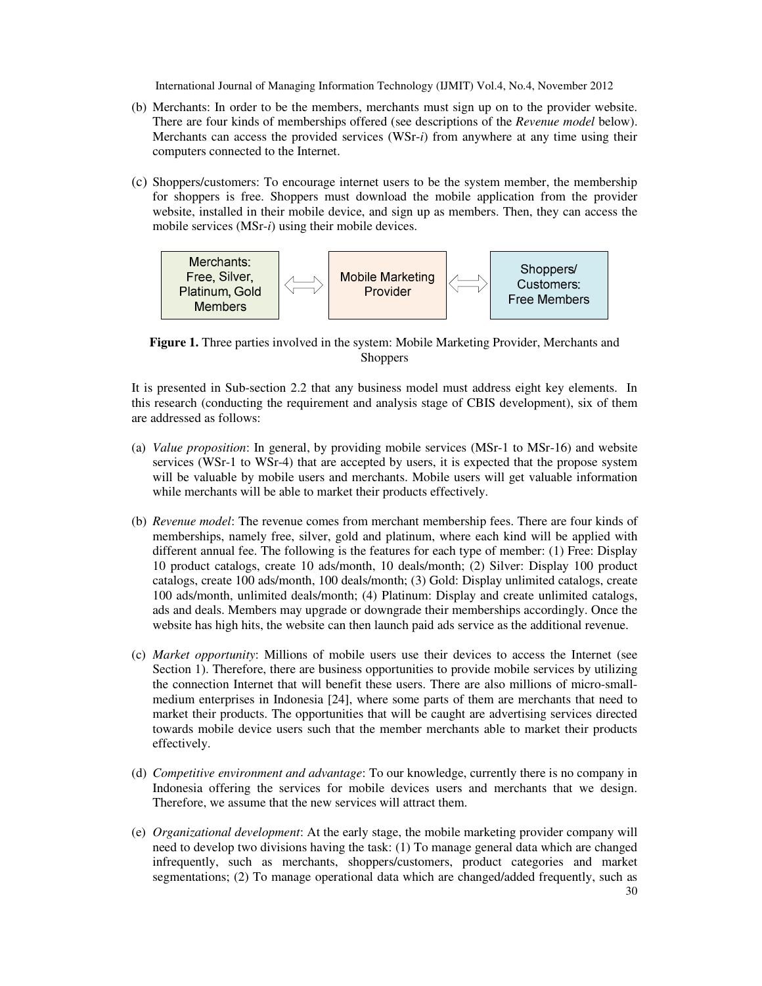- (b) Merchants: In order to be the members, merchants must sign up on to the provider website. There are four kinds of memberships offered (see descriptions of the *Revenue model* below). Merchants can access the provided services (WSr-*i*) from anywhere at any time using their computers connected to the Internet.
- (c) Shoppers/customers: To encourage internet users to be the system member, the membership for shoppers is free. Shoppers must download the mobile application from the provider website, installed in their mobile device, and sign up as members. Then, they can access the mobile services (MSr-*i*) using their mobile devices.



**Figure 1.** Three parties involved in the system: Mobile Marketing Provider, Merchants and **Shoppers** 

It is presented in Sub-section 2.2 that any business model must address eight key elements. In this research (conducting the requirement and analysis stage of CBIS development), six of them are addressed as follows:

- (a) *Value proposition*: In general, by providing mobile services (MSr-1 to MSr-16) and website services (WSr-1 to WSr-4) that are accepted by users, it is expected that the propose system will be valuable by mobile users and merchants. Mobile users will get valuable information while merchants will be able to market their products effectively.
- (b) *Revenue model*: The revenue comes from merchant membership fees. There are four kinds of memberships, namely free, silver, gold and platinum, where each kind will be applied with different annual fee. The following is the features for each type of member: (1) Free: Display 10 product catalogs, create 10 ads/month, 10 deals/month; (2) Silver: Display 100 product catalogs, create 100 ads/month, 100 deals/month; (3) Gold: Display unlimited catalogs, create 100 ads/month, unlimited deals/month; (4) Platinum: Display and create unlimited catalogs, ads and deals. Members may upgrade or downgrade their memberships accordingly. Once the website has high hits, the website can then launch paid ads service as the additional revenue.
- (c) *Market opportunity*: Millions of mobile users use their devices to access the Internet (see Section 1). Therefore, there are business opportunities to provide mobile services by utilizing the connection Internet that will benefit these users. There are also millions of micro-smallmedium enterprises in Indonesia [24], where some parts of them are merchants that need to market their products. The opportunities that will be caught are advertising services directed towards mobile device users such that the member merchants able to market their products effectively.
- (d) *Competitive environment and advantage*: To our knowledge, currently there is no company in Indonesia offering the services for mobile devices users and merchants that we design. Therefore, we assume that the new services will attract them.
- (e) *Organizational development*: At the early stage, the mobile marketing provider company will need to develop two divisions having the task: (1) To manage general data which are changed infrequently, such as merchants, shoppers/customers, product categories and market segmentations; (2) To manage operational data which are changed/added frequently, such as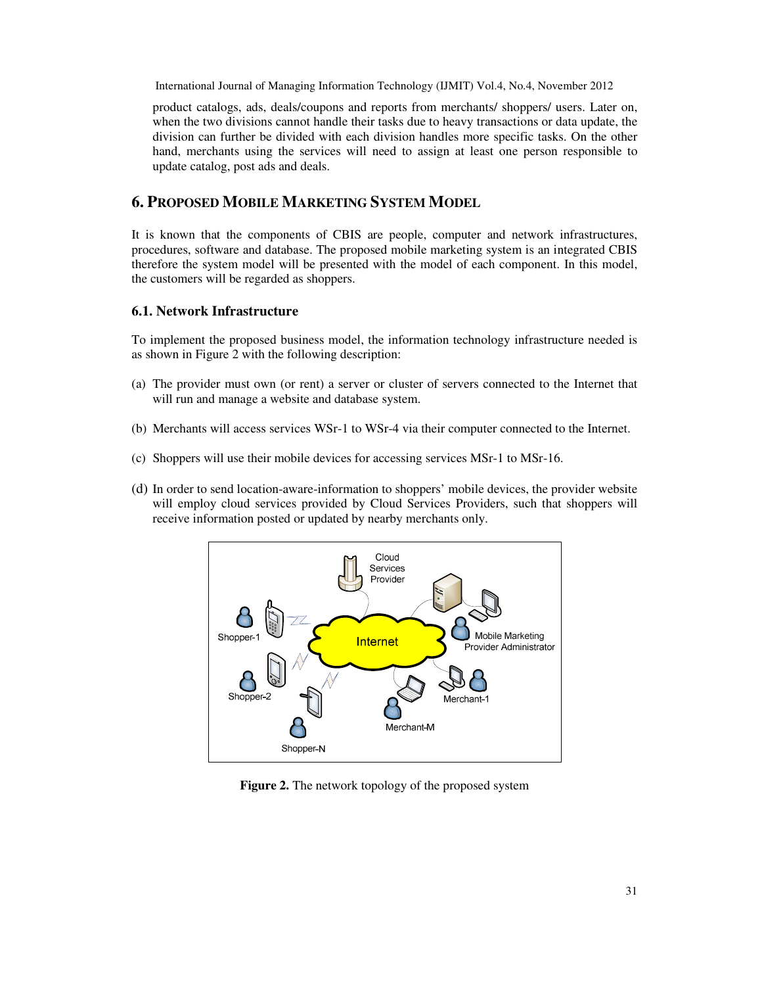product catalogs, ads, deals/coupons and reports from merchants/ shoppers/ users. Later on, when the two divisions cannot handle their tasks due to heavy transactions or data update, the division can further be divided with each division handles more specific tasks. On the other hand, merchants using the services will need to assign at least one person responsible to update catalog, post ads and deals.

# **6. PROPOSED MOBILE MARKETING SYSTEM MODEL**

It is known that the components of CBIS are people, computer and network infrastructures, procedures, software and database. The proposed mobile marketing system is an integrated CBIS therefore the system model will be presented with the model of each component. In this model, the customers will be regarded as shoppers.

### **6.1. Network Infrastructure**

To implement the proposed business model, the information technology infrastructure needed is as shown in Figure 2 with the following description:

- (a) The provider must own (or rent) a server or cluster of servers connected to the Internet that will run and manage a website and database system.
- (b) Merchants will access services WSr-1 to WSr-4 via their computer connected to the Internet.
- (c) Shoppers will use their mobile devices for accessing services MSr-1 to MSr-16.
- (d) In order to send location-aware-information to shoppers' mobile devices, the provider website will employ cloud services provided by Cloud Services Providers, such that shoppers will receive information posted or updated by nearby merchants only.



**Figure 2.** The network topology of the proposed system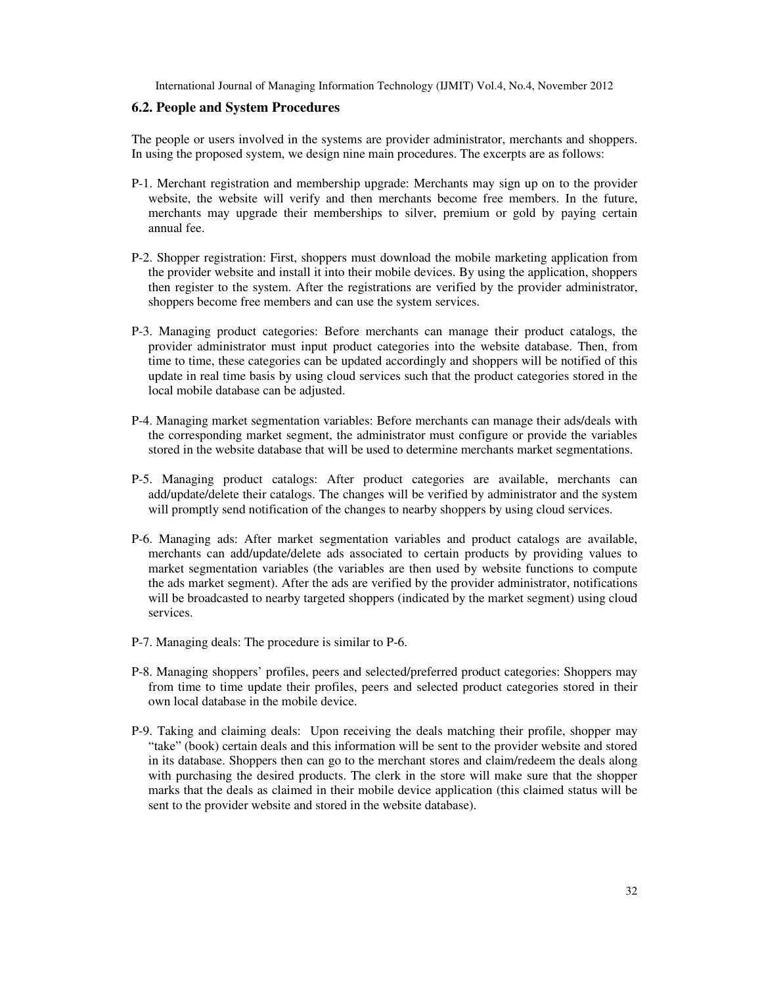#### **6.2. People and System Procedures**

The people or users involved in the systems are provider administrator, merchants and shoppers. In using the proposed system, we design nine main procedures. The excerpts are as follows:

- P-1. Merchant registration and membership upgrade: Merchants may sign up on to the provider website, the website will verify and then merchants become free members. In the future, merchants may upgrade their memberships to silver, premium or gold by paying certain annual fee.
- P-2. Shopper registration: First, shoppers must download the mobile marketing application from the provider website and install it into their mobile devices. By using the application, shoppers then register to the system. After the registrations are verified by the provider administrator, shoppers become free members and can use the system services.
- P-3. Managing product categories: Before merchants can manage their product catalogs, the provider administrator must input product categories into the website database. Then, from time to time, these categories can be updated accordingly and shoppers will be notified of this update in real time basis by using cloud services such that the product categories stored in the local mobile database can be adjusted.
- P-4. Managing market segmentation variables: Before merchants can manage their ads/deals with the corresponding market segment, the administrator must configure or provide the variables stored in the website database that will be used to determine merchants market segmentations.
- P-5. Managing product catalogs: After product categories are available, merchants can add/update/delete their catalogs. The changes will be verified by administrator and the system will promptly send notification of the changes to nearby shoppers by using cloud services.
- P-6. Managing ads: After market segmentation variables and product catalogs are available, merchants can add/update/delete ads associated to certain products by providing values to market segmentation variables (the variables are then used by website functions to compute the ads market segment). After the ads are verified by the provider administrator, notifications will be broadcasted to nearby targeted shoppers (indicated by the market segment) using cloud services.
- P-7. Managing deals: The procedure is similar to P-6.
- P-8. Managing shoppers' profiles, peers and selected/preferred product categories: Shoppers may from time to time update their profiles, peers and selected product categories stored in their own local database in the mobile device.
- P-9. Taking and claiming deals: Upon receiving the deals matching their profile, shopper may "take" (book) certain deals and this information will be sent to the provider website and stored in its database. Shoppers then can go to the merchant stores and claim/redeem the deals along with purchasing the desired products. The clerk in the store will make sure that the shopper marks that the deals as claimed in their mobile device application (this claimed status will be sent to the provider website and stored in the website database).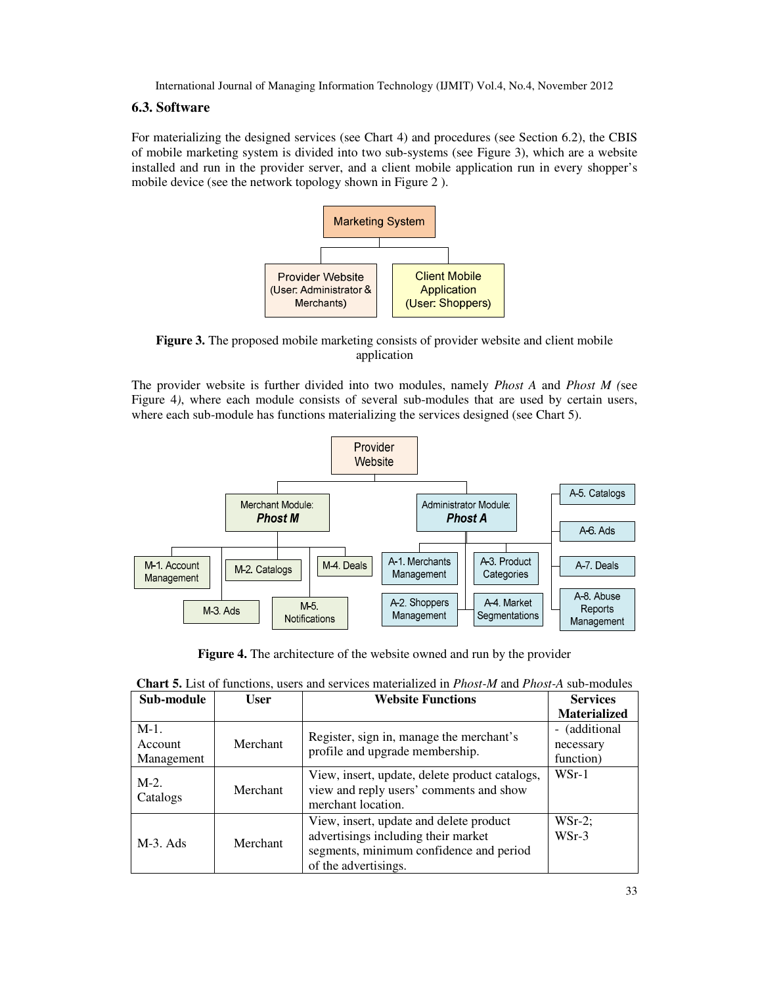### **6.3. Software**

For materializing the designed services (see Chart 4) and procedures (see Section 6.2), the CBIS of mobile marketing system is divided into two sub-systems (see Figure 3), which are a website installed and run in the provider server, and a client mobile application run in every shopper's mobile device (see the network topology shown in Figure 2 ).



**Figure 3.** The proposed mobile marketing consists of provider website and client mobile application

The provider website is further divided into two modules, namely *Phost A* and *Phost M (*see Figure 4*)*, where each module consists of several sub-modules that are used by certain users, where each sub-module has functions materializing the services designed (see Chart 5).



**Figure 4.** The architecture of the website owned and run by the provider

| Sub-module          | User     | <b>Website Functions</b>                                                                                                                          | <b>Services</b>     |
|---------------------|----------|---------------------------------------------------------------------------------------------------------------------------------------------------|---------------------|
|                     |          |                                                                                                                                                   | <b>Materialized</b> |
| $M-1$ .             |          | Register, sign in, manage the merchant's                                                                                                          | - (additional       |
| Account             | Merchant | profile and upgrade membership.                                                                                                                   | necessary           |
| Management          |          |                                                                                                                                                   | function)           |
| $M-2$ .<br>Catalogs | Merchant | View, insert, update, delete product catalogs,<br>view and reply users' comments and show<br>merchant location.                                   | WSr-1               |
| $M-3.$ Ads          | Merchant | View, insert, update and delete product<br>advertisings including their market<br>segments, minimum confidence and period<br>of the advertisings. | $WSr-2;$<br>$WSr-3$ |

**Chart 5.** List of functions, users and services materialized in *Phost-M* and *Phost-A* sub-modules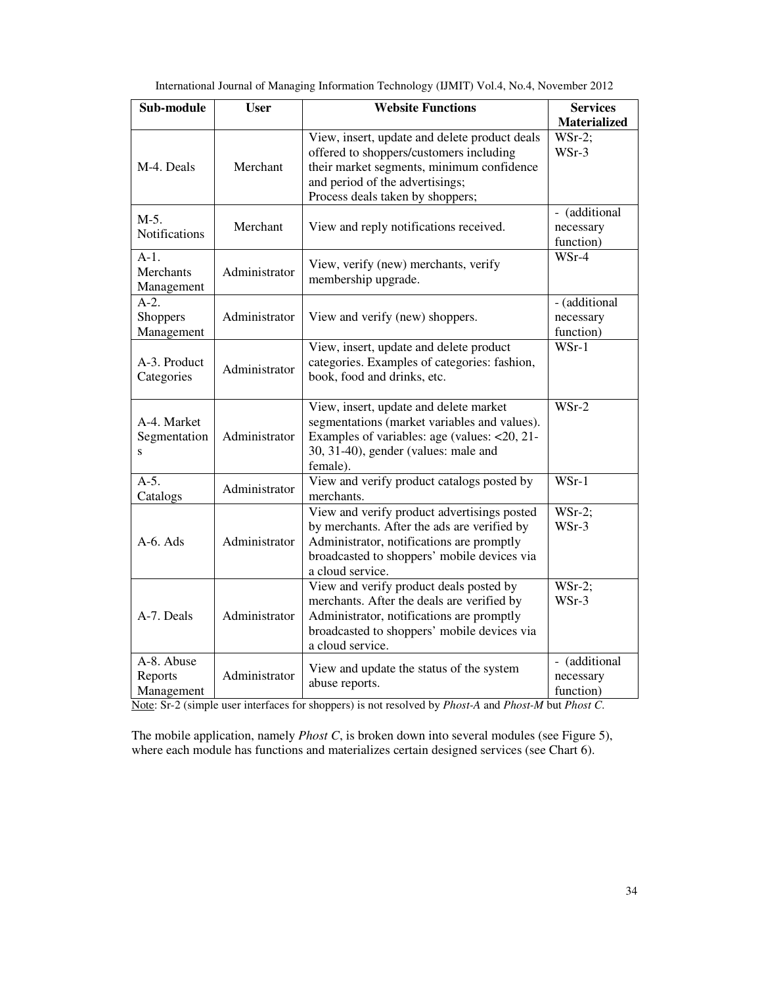| Sub-module                            | <b>User</b>   | <b>Website Functions</b>                                                                                                                                                                                     | <b>Services</b><br><b>Materialized</b>  |
|---------------------------------------|---------------|--------------------------------------------------------------------------------------------------------------------------------------------------------------------------------------------------------------|-----------------------------------------|
| M-4. Deals                            | Merchant      | View, insert, update and delete product deals<br>offered to shoppers/customers including<br>their market segments, minimum confidence<br>and period of the advertisings;<br>Process deals taken by shoppers; | $WSr-2$ ;<br>$WSr-3$                    |
| M-5.<br><b>Notifications</b>          | Merchant      | View and reply notifications received.                                                                                                                                                                       | - (additional<br>necessary<br>function) |
| $A-1.$<br>Merchants<br>Management     | Administrator | View, verify (new) merchants, verify<br>membership upgrade.                                                                                                                                                  | WSr-4                                   |
| A-2.<br><b>Shoppers</b><br>Management | Administrator | View and verify (new) shoppers.                                                                                                                                                                              | - (additional<br>necessary<br>function) |
| A-3. Product<br>Categories            | Administrator | View, insert, update and delete product<br>categories. Examples of categories: fashion,<br>book, food and drinks, etc.                                                                                       | $WSr-1$                                 |
| A-4. Market<br>Segmentation<br>S      | Administrator | View, insert, update and delete market<br>segmentations (market variables and values).<br>Examples of variables: age (values: <20, 21-<br>30, 31-40), gender (values: male and<br>female).                   | $WSr-2$                                 |
| $A-5.$<br>Catalogs                    | Administrator | View and verify product catalogs posted by<br>merchants.                                                                                                                                                     | $WSr-1$                                 |
| $A-6.$ Ads                            | Administrator | View and verify product advertisings posted<br>by merchants. After the ads are verified by<br>Administrator, notifications are promptly<br>broadcasted to shoppers' mobile devices via<br>a cloud service.   | $\overline{W}$ Sr-2;<br>WSr-3           |
| A-7. Deals                            | Administrator | View and verify product deals posted by<br>merchants. After the deals are verified by<br>Administrator, notifications are promptly<br>broadcasted to shoppers' mobile devices via<br>a cloud service.        | $WSr-2;$<br>$WSr-3$                     |
| A-8. Abuse<br>Reports<br>Management   | Administrator | View and update the status of the system<br>abuse reports.                                                                                                                                                   | - (additional<br>necessary<br>function) |

| International Journal of Managing Information Technology (IJMIT) Vol.4, No.4, November 2012 |  |  |  |
|---------------------------------------------------------------------------------------------|--|--|--|
|                                                                                             |  |  |  |

Note: Sr-2 (simple user interfaces for shoppers) is not resolved by *Phost-A* and *Phost-M* but *Phost C*.

The mobile application, namely *Phost C*, is broken down into several modules (see Figure 5), where each module has functions and materializes certain designed services (see Chart 6).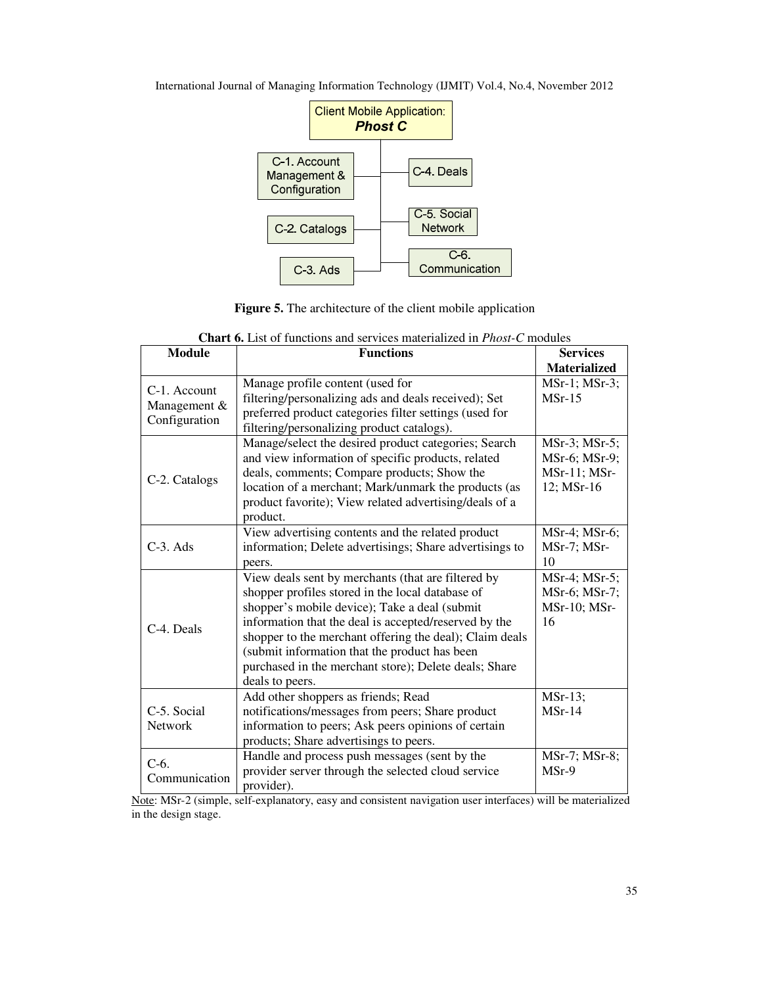



| <b>Module</b>                 | <b>Functions</b>                                        | <b>Services</b>     |
|-------------------------------|---------------------------------------------------------|---------------------|
|                               |                                                         | <b>Materialized</b> |
| C-1. Account                  | Manage profile content (used for                        | MSr-1; MSr-3;       |
| Management &                  | filtering/personalizing ads and deals received); Set    | $MSr-15$            |
| Configuration                 | preferred product categories filter settings (used for  |                     |
|                               | filtering/personalizing product catalogs).              |                     |
|                               | Manage/select the desired product categories; Search    | MSr-3; MSr-5;       |
|                               | and view information of specific products, related      | MSr-6; MSr-9;       |
| C-2. Catalogs                 | deals, comments; Compare products; Show the             | MSr-11; MSr-        |
|                               | location of a merchant; Mark/unmark the products (as    | 12; MSr-16          |
|                               | product favorite); View related advertising/deals of a  |                     |
|                               | product.                                                |                     |
|                               | View advertising contents and the related product       | MSr-4; MSr-6;       |
| $C-3.$ Ads                    | information; Delete advertisings; Share advertisings to | MSr-7; MSr-         |
|                               | peers.                                                  | 10                  |
|                               | View deals sent by merchants (that are filtered by      | MSr-4; MSr-5;       |
|                               | shopper profiles stored in the local database of        | MSr-6; MSr-7;       |
|                               | shopper's mobile device); Take a deal (submit           | MSr-10; MSr-        |
|                               | information that the deal is accepted/reserved by the   | 16                  |
| C-4. Deals                    | shopper to the merchant offering the deal); Claim deals |                     |
|                               | (submit information that the product has been           |                     |
|                               | purchased in the merchant store); Delete deals; Share   |                     |
|                               | deals to peers.                                         |                     |
|                               | Add other shoppers as friends; Read                     | MSr-13;             |
| C-5. Social<br><b>Network</b> | notifications/messages from peers; Share product        | $MSr-14$            |
|                               | information to peers; Ask peers opinions of certain     |                     |
|                               | products; Share advertisings to peers.                  |                     |
|                               | Handle and process push messages (sent by the           | MSr-7; MSr-8;       |
| $C-6.$                        | provider server through the selected cloud service      | MSr-9               |
| Communication                 | provider).                                              |                     |

|  |  |  |  | <b>Chart 6.</b> List of functions and services materialized in <i>Phost-C</i> modules |
|--|--|--|--|---------------------------------------------------------------------------------------|
|  |  |  |  |                                                                                       |

Note: MSr-2 (simple, self-explanatory, easy and consistent navigation user interfaces) will be materialized in the design stage.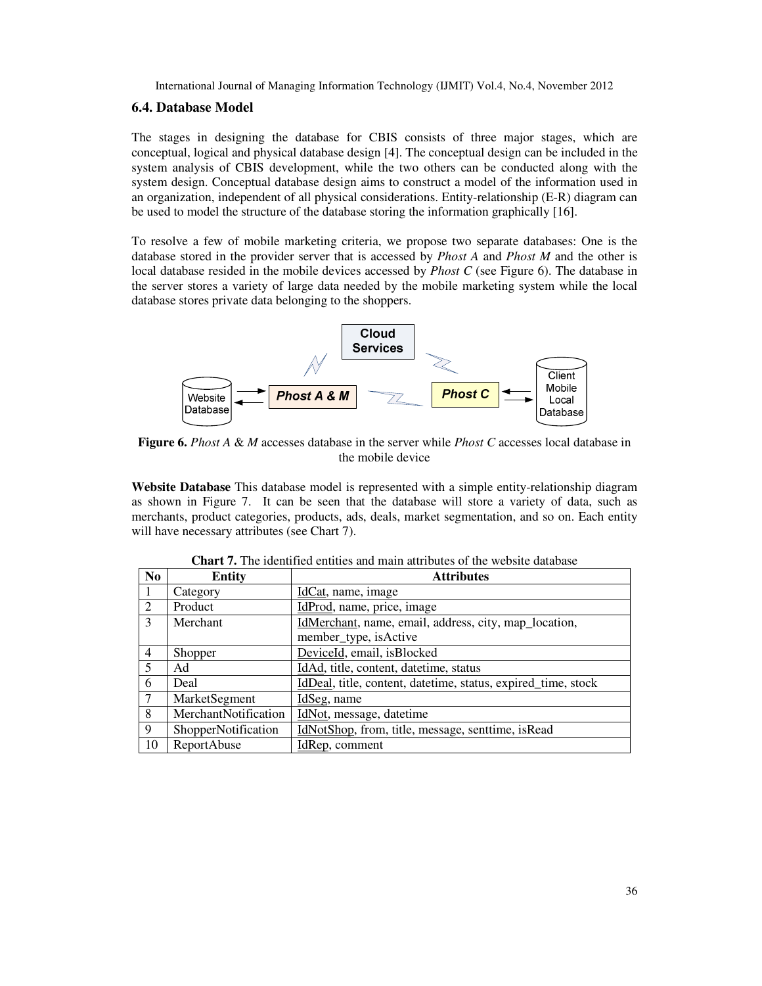#### **6.4. Database Model**

The stages in designing the database for CBIS consists of three major stages, which are conceptual, logical and physical database design [4]. The conceptual design can be included in the system analysis of CBIS development, while the two others can be conducted along with the system design. Conceptual database design aims to construct a model of the information used in an organization, independent of all physical considerations. Entity-relationship (E-R) diagram can be used to model the structure of the database storing the information graphically [16].

To resolve a few of mobile marketing criteria, we propose two separate databases: One is the database stored in the provider server that is accessed by *Phost A* and *Phost M* and the other is local database resided in the mobile devices accessed by *Phost C* (see Figure 6). The database in the server stores a variety of large data needed by the mobile marketing system while the local database stores private data belonging to the shoppers.



**Figure 6.** *Phost A* & *M* accesses database in the server while *Phost C* accesses local database in the mobile device

**Website Database** This database model is represented with a simple entity-relationship diagram as shown in Figure 7. It can be seen that the database will store a variety of data, such as merchants, product categories, products, ads, deals, market segmentation, and so on. Each entity will have necessary attributes (see Chart 7).

| N <sub>0</sub> | <b>Entity</b>        | <b>Attributes</b>                                              |
|----------------|----------------------|----------------------------------------------------------------|
|                | Category             | IdCat, name, image                                             |
| 2              | Product              | IdProd, name, price, image                                     |
| 3              | Merchant             | IdMerchant, name, email, address, city, map_location,          |
|                |                      | member_type, isActive                                          |
| $\overline{4}$ | Shopper              | DeviceId, email, isBlocked                                     |
| 5              | Ad                   | IdAd, title, content, date time, status                        |
| 6              | Deal                 | IdDeal, title, content, date time, status, expired time, stock |
|                | MarketSegment        | IdSeg, name                                                    |
| 8              | MerchantNotification | IdNot, message, datetime                                       |
| 9              | ShopperNotification  | IdNotShop, from, title, message, senttime, isRead              |
| 10             | ReportAbuse          | IdRep, comment                                                 |

**Chart 7.** The identified entities and main attributes of the website database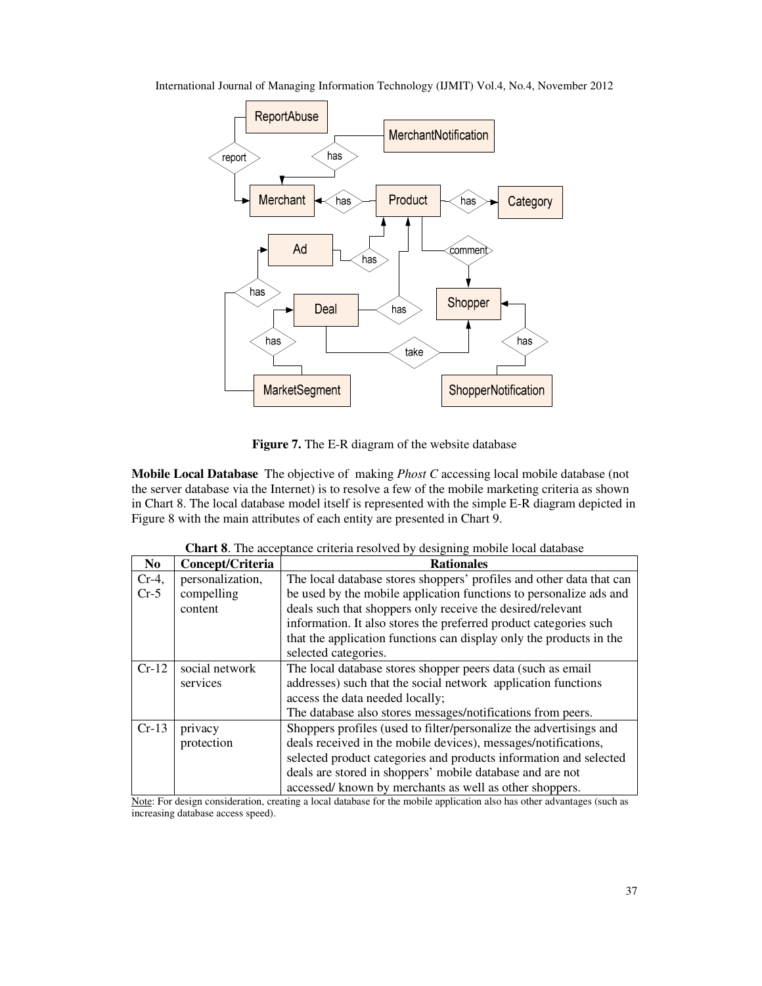

International Journal of Managing Information Technology (IJMIT) Vol.4, No.4, November 2012

**Figure 7.** The E-R diagram of the website database

**Mobile Local Database** The objective of making *Phost C* accessing local mobile database (not the server database via the Internet) is to resolve a few of the mobile marketing criteria as shown in Chart 8. The local database model itself is represented with the simple E-R diagram depicted in Figure 8 with the main attributes of each entity are presented in Chart 9.

| N <sub>0</sub> | Concept/Criteria | <b>Rationales</b>                                                    |
|----------------|------------------|----------------------------------------------------------------------|
| $Cr-4$ ,       | personalization, | The local database stores shoppers' profiles and other data that can |
| $Cr-5$         | compelling       | be used by the mobile application functions to personalize ads and   |
|                | content          | deals such that shoppers only receive the desired/relevant           |
|                |                  | information. It also stores the preferred product categories such    |
|                |                  | that the application functions can display only the products in the  |
|                |                  | selected categories.                                                 |
| $Cr-12$        | social network   | The local database stores shopper peers data (such as email          |
|                | services         | addresses) such that the social network application functions        |
|                |                  | access the data needed locally;                                      |
|                |                  | The database also stores messages/notifications from peers.          |
| $Cr-13$        | privacy          | Shoppers profiles (used to filter/personalize the advertisings and   |
|                | protection       | deals received in the mobile devices), messages/notifications,       |
|                |                  | selected product categories and products information and selected    |
|                |                  | deals are stored in shoppers' mobile database and are not            |
|                |                  | accessed/known by merchants as well as other shoppers.               |

**Chart 8**. The acceptance criteria resolved by designing mobile local database

Note: For design consideration, creating a local database for the mobile application also has other advantages (such as increasing database access speed).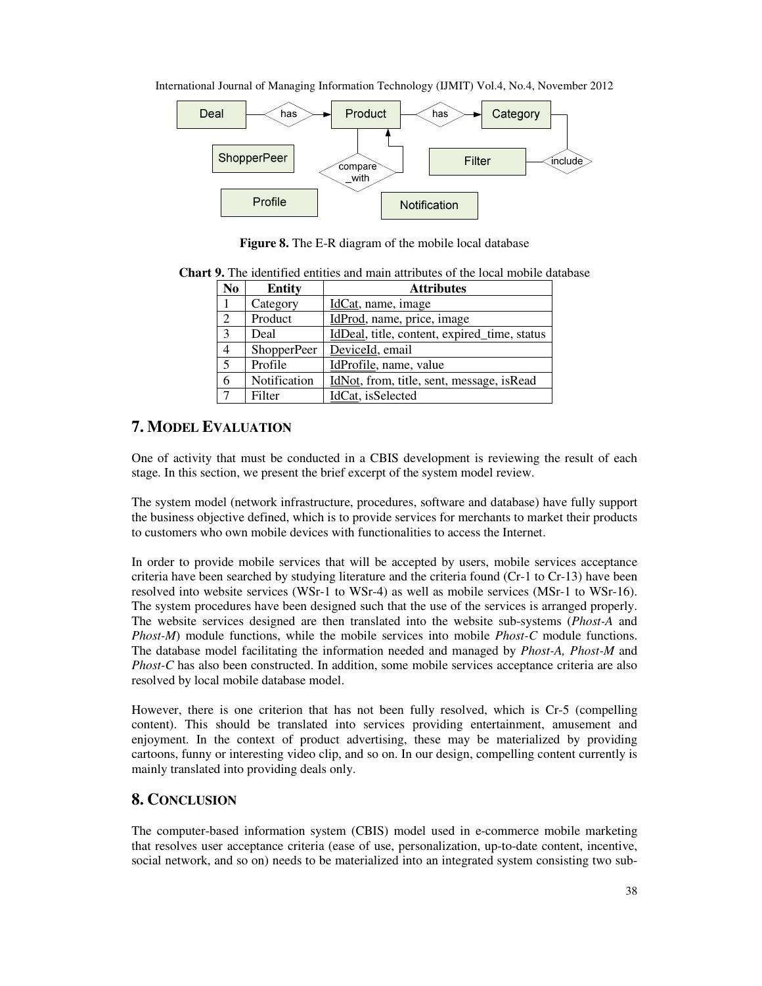International Journal of Managing Information Technology (IJMIT) Vol.4, No.4, November 2012



**Figure 8.** The E-R diagram of the mobile local database

**Chart 9.** The identified entities and main attributes of the local mobile database

| N <sub>0</sub> | <b>Entity</b> | <b>Attributes</b>                            |
|----------------|---------------|----------------------------------------------|
|                | Category      | IdCat, name, image                           |
| $\overline{2}$ | Product       | IdProd, name, price, image                   |
| $\overline{3}$ | Deal          | IdDeal, title, content, expired_time, status |
|                | ShopperPeer   | DeviceId, email                              |
| 5              | Profile       | IdProfile, name, value                       |
| 6              | Notification  | IdNot, from, title, sent, message, isRead    |
| $\tau$         | Filter        | IdCat, isSelected                            |

# **7. MODEL EVALUATION**

One of activity that must be conducted in a CBIS development is reviewing the result of each stage. In this section, we present the brief excerpt of the system model review.

The system model (network infrastructure, procedures, software and database) have fully support the business objective defined, which is to provide services for merchants to market their products to customers who own mobile devices with functionalities to access the Internet.

In order to provide mobile services that will be accepted by users, mobile services acceptance criteria have been searched by studying literature and the criteria found (Cr-1 to Cr-13) have been resolved into website services (WSr-1 to WSr-4) as well as mobile services (MSr-1 to WSr-16). The system procedures have been designed such that the use of the services is arranged properly. The website services designed are then translated into the website sub-systems (*Phost-A* and *Phost-M*) module functions, while the mobile services into mobile *Phost-C* module functions. The database model facilitating the information needed and managed by *Phost-A, Phost-M* and *Phost-C* has also been constructed. In addition, some mobile services acceptance criteria are also resolved by local mobile database model.

However, there is one criterion that has not been fully resolved, which is Cr-5 (compelling content). This should be translated into services providing entertainment, amusement and enjoyment. In the context of product advertising, these may be materialized by providing cartoons, funny or interesting video clip, and so on. In our design, compelling content currently is mainly translated into providing deals only.

# **8. CONCLUSION**

The computer-based information system (CBIS) model used in e-commerce mobile marketing that resolves user acceptance criteria (ease of use, personalization, up-to-date content, incentive, social network, and so on) needs to be materialized into an integrated system consisting two sub-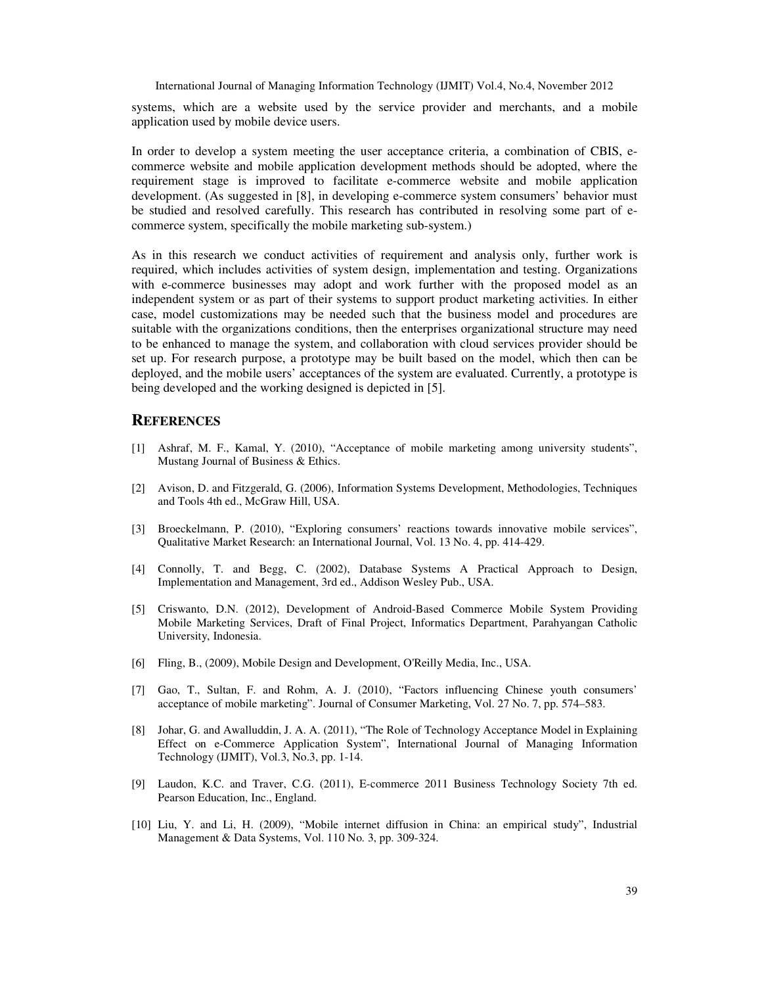systems, which are a website used by the service provider and merchants, and a mobile application used by mobile device users.

In order to develop a system meeting the user acceptance criteria, a combination of CBIS, ecommerce website and mobile application development methods should be adopted, where the requirement stage is improved to facilitate e-commerce website and mobile application development. (As suggested in [8], in developing e-commerce system consumers' behavior must be studied and resolved carefully. This research has contributed in resolving some part of ecommerce system, specifically the mobile marketing sub-system.)

As in this research we conduct activities of requirement and analysis only, further work is required, which includes activities of system design, implementation and testing. Organizations with e-commerce businesses may adopt and work further with the proposed model as an independent system or as part of their systems to support product marketing activities. In either case, model customizations may be needed such that the business model and procedures are suitable with the organizations conditions, then the enterprises organizational structure may need to be enhanced to manage the system, and collaboration with cloud services provider should be set up. For research purpose, a prototype may be built based on the model, which then can be deployed, and the mobile users' acceptances of the system are evaluated. Currently, a prototype is being developed and the working designed is depicted in [5].

#### **REFERENCES**

- [1] Ashraf, M. F., Kamal, Y. (2010), "Acceptance of mobile marketing among university students", Mustang Journal of Business & Ethics.
- [2] Avison, D. and Fitzgerald, G. (2006), Information Systems Development, Methodologies, Techniques and Tools 4th ed., McGraw Hill, USA.
- [3] Broeckelmann, P. (2010), "Exploring consumers' reactions towards innovative mobile services", Qualitative Market Research: an International Journal, Vol. 13 No. 4, pp. 414-429.
- [4] Connolly, T. and Begg, C. (2002), Database Systems A Practical Approach to Design, Implementation and Management, 3rd ed., Addison Wesley Pub., USA.
- [5] Criswanto, D.N. (2012), Development of Android-Based Commerce Mobile System Providing Mobile Marketing Services, Draft of Final Project, Informatics Department, Parahyangan Catholic University, Indonesia.
- [6] Fling, B., (2009), Mobile Design and Development, O'Reilly Media, Inc., USA.
- [7] Gao, T., Sultan, F. and Rohm, A. J. (2010), "Factors influencing Chinese youth consumers' acceptance of mobile marketing". Journal of Consumer Marketing, Vol. 27 No. 7, pp. 574–583.
- [8] Johar, G. and Awalluddin, J. A. A. (2011), "The Role of Technology Acceptance Model in Explaining Effect on e-Commerce Application System", International Journal of Managing Information Technology (IJMIT), Vol.3, No.3, pp. 1-14.
- [9] Laudon, K.C. and Traver, C.G. (2011), E-commerce 2011 Business Technology Society 7th ed. Pearson Education, Inc., England.
- [10] Liu, Y. and Li, H. (2009), "Mobile internet diffusion in China: an empirical study", Industrial Management & Data Systems, Vol. 110 No. 3, pp. 309-324.